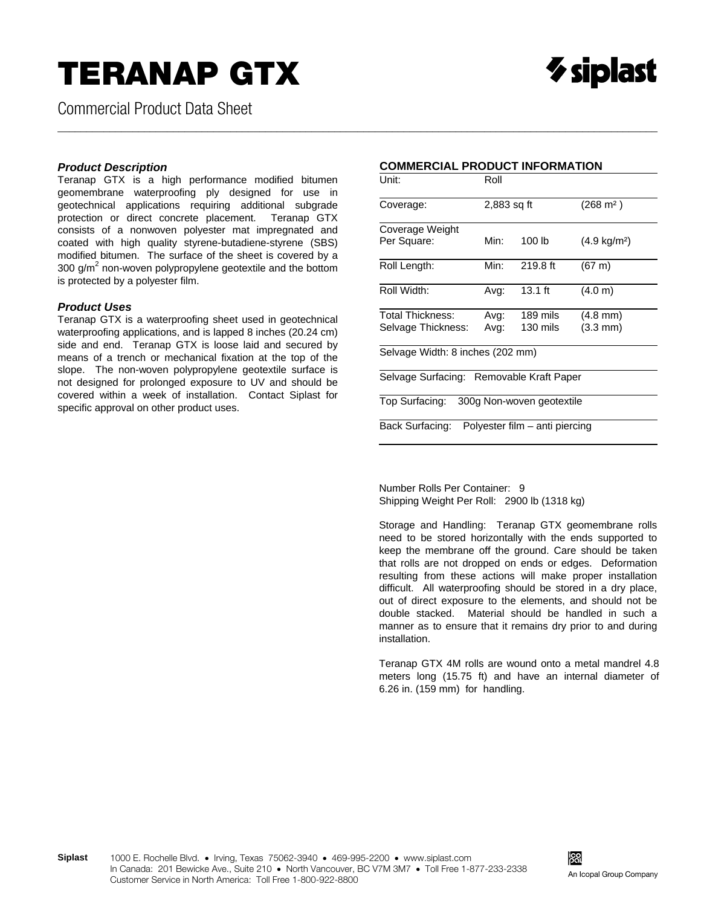## **TERANAP GTX**

Commercial Product Data Sheet

#### *Product Description*

Teranap GTX is a high performance modified bitumen geomembrane waterproofing ply designed for use in geotechnical applications requiring additional subgrade protection or direct concrete placement. Teranap GTX consists of a nonwoven polyester mat impregnated and coated with high quality styrene-butadiene-styrene (SBS) modified bitumen. The surface of the sheet is covered by a 300 g/ $m^2$  non-woven polypropylene geotextile and the bottom is protected by a polyester film.

#### *Product Uses*

Teranap GTX is a waterproofing sheet used in geotechnical waterproofing applications, and is lapped 8 inches (20.24 cm) side and end. Teranap GTX is loose laid and secured by means of a trench or mechanical fixation at the top of the slope. The non-woven polypropylene geotextile surface is not designed for prolonged exposure to UV and should be covered within a week of installation. Contact Siplast for specific approval on other product uses.

### **COMMERCIAL PRODUCT INFORMATION**

\_\_\_\_\_\_\_\_\_\_\_\_\_\_\_\_\_\_\_\_\_\_\_\_\_\_\_\_\_\_\_\_\_\_\_\_\_\_\_\_\_\_\_\_\_\_\_\_\_\_\_\_\_\_\_\_\_\_\_\_\_\_\_\_\_\_\_\_\_\_\_\_\_\_\_\_\_\_\_\_\_\_\_\_\_\_\_\_\_\_\_\_\_\_\_\_\_\_\_\_\_\_\_\_

| Unit:                                          | Roll        |           |                        |  |
|------------------------------------------------|-------------|-----------|------------------------|--|
| Coverage:                                      | 2,883 sq ft |           | $(268 \text{ m}^2)$    |  |
| Coverage Weight                                |             |           |                        |  |
| Per Square:                                    | Min:        | 100 lb    | $(4.9 \text{ kg/m}^2)$ |  |
| Roll Length:                                   | Min:        | 219.8 ft  | $(67 \text{ m})$       |  |
| Roll Width:                                    | Avg:        | $13.1$ ft | (4.0 m)                |  |
| Total Thickness:                               | Avg:        | 189 mils  | $(4.8 \text{ mm})$     |  |
| Selvage Thickness:                             | Avg:        | 130 mils  | $(3.3 \text{ mm})$     |  |
| Selvage Width: 8 inches (202 mm)               |             |           |                        |  |
| Selvage Surfacing: Removable Kraft Paper       |             |           |                        |  |
| Top Surfacing: 300g Non-woven geotextile       |             |           |                        |  |
| Back Surfacing: Polyester film - anti piercing |             |           |                        |  |

Number Rolls Per Container: 9 Shipping Weight Per Roll: 2900 lb (1318 kg)

Storage and Handling: Teranap GTX geomembrane rolls need to be stored horizontally with the ends supported to keep the membrane off the ground. Care should be taken that rolls are not dropped on ends or edges. Deformation resulting from these actions will make proper installation difficult. All waterproofing should be stored in a dry place, out of direct exposure to the elements, and should not be double stacked. Material should be handled in such a manner as to ensure that it remains dry prior to and during installation.

Teranap GTX 4M rolls are wound onto a metal mandrel 4.8 meters long (15.75 ft) and have an internal diameter of 6.26 in. (159 mm) for handling.